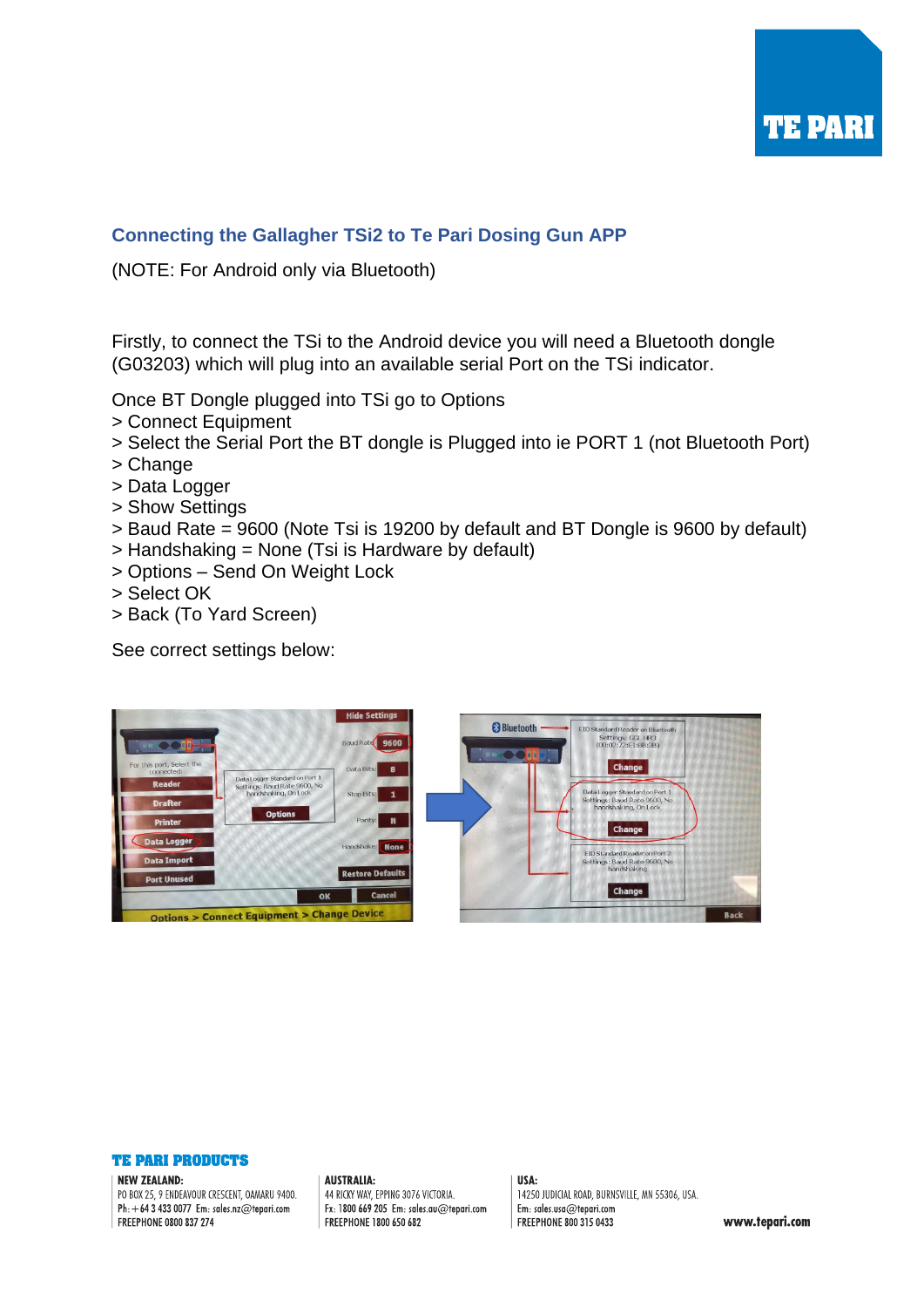

# **Connecting the Gallagher TSi2 to Te Pari Dosing Gun APP**

(NOTE: For Android only via Bluetooth)

Firstly, to connect the TSi to the Android device you will need a Bluetooth dongle (G03203) which will plug into an available serial Port on the TSi indicator.

Once BT Dongle plugged into TSi go to Options

- > Connect Equipment
- > Select the Serial Port the BT dongle is Plugged into ie PORT 1 (not Bluetooth Port)
- > Change
- > Data Logger
- > Show Settings
- > Baud Rate = 9600 (Note Tsi is 19200 by default and BT Dongle is 9600 by default)
- > Handshaking = None (Tsi is Hardware by default)
- > Options Send On Weight Lock
- > Select OK
- > Back (To Yard Screen)

See correct settings below:





### **NEW ZEALAND:**

PO BOX 25, 9 ENDEAVOUR CRESCENT, OAMARU 9400. Ph:  $+6434330077$  Em: sales.nz@tepari.com FREEPHONE 0800 837 274

**AUSTRALIA:** 44 RICKY WAY, EPPING 3076 VICTORIA. Fx: 1800 669 205 Em: sales.au@tepari.com FREEPHONE 1800 650 682

USA:

14250 JUDICIAL ROAD, BURNSVILLE, MN 55306, USA. Em: sales.usa@tepari.com FREEPHONE 800 315 0433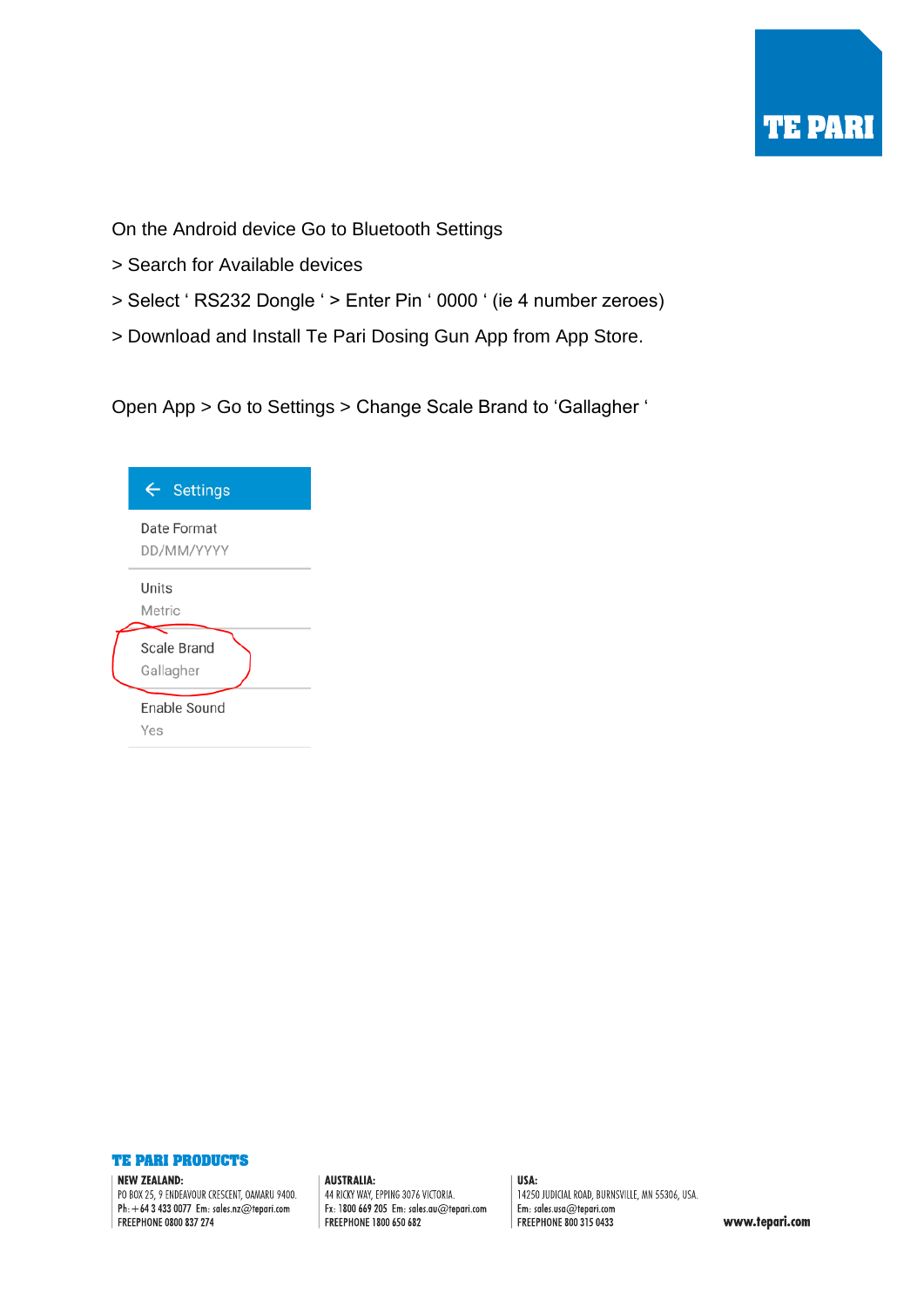

On the Android device Go to Bluetooth Settings

- > Search for Available devices
- > Select ' RS232 Dongle ' > Enter Pin ' 0000 ' (ie 4 number zeroes)
- > Download and Install Te Pari Dosing Gun App from App Store.

Open App > Go to Settings > Change Scale Brand to 'Gallagher '

| <b>Settings</b><br>$\leftarrow$ |  |  |  |
|---------------------------------|--|--|--|
| Date Format<br>DD/MM/YYYY       |  |  |  |
| Units<br>Metric                 |  |  |  |
| Scale Brand<br>Gallagher        |  |  |  |
| Enable Sound<br>Yes             |  |  |  |



### NEW ZEALAND:

PO BOX 25, 9 ENDEAVOUR CRESCENT, OAMARU 9400. Ph:  $+6434330077$  Em: sales.nz@tepari.com FREEPHONE 0800 837 274

**AUSTRALIA:** 44 RICKY WAY, EPPING 3076 VICTORIA. Fx: 1800 669 205 Em: sales.au@tepari.com FREEPHONE 1800 650 682

USA: 14250 JUDICIAL ROAD, BURNSVILLE, MN 55306, USA. Em: sales.usa@tepari.com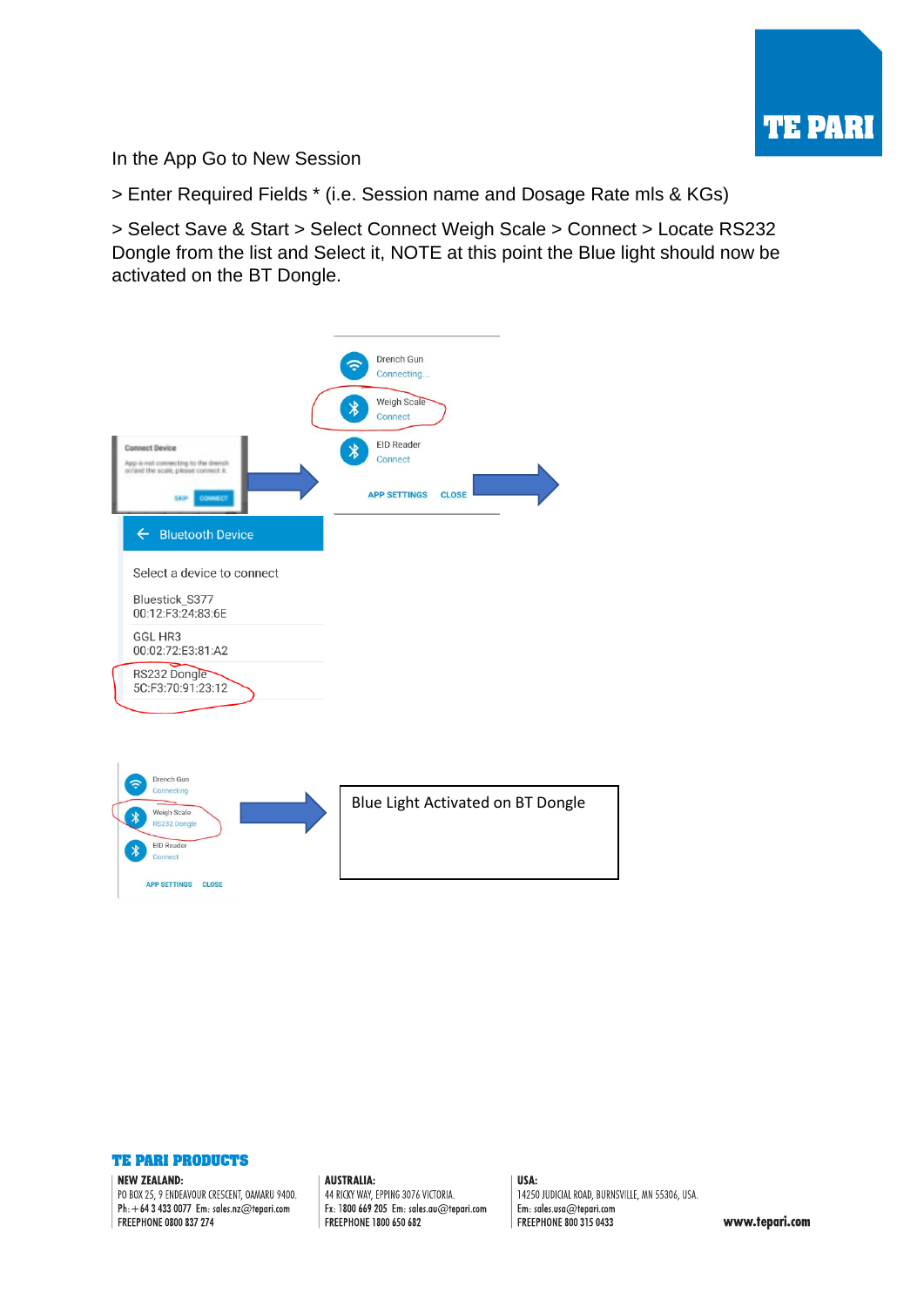

In the App Go to New Session

> Enter Required Fields \* (i.e. Session name and Dosage Rate mls & KGs)

> Select Save & Start > Select Connect Weigh Scale > Connect > Locate RS232 Dongle from the list and Select it, NOTE at this point the Blue light should now be activated on the BT Dongle.

|                                                      |                                                                                                      | Drench Gun<br>Connecting          |                                   |
|------------------------------------------------------|------------------------------------------------------------------------------------------------------|-----------------------------------|-----------------------------------|
|                                                      |                                                                                                      | Weigh Scale<br>∦<br>Connect       |                                   |
|                                                      | <b>Connect Device</b><br>App is not connecting to the drench<br>sc/and the scale, please connect it. | <b>EID Reader</b><br>∦<br>Connect |                                   |
|                                                      | <b>SkiP</b><br>CONNECT                                                                               | <b>APP SETTINGS</b>               | <b>CLOSE</b>                      |
|                                                      | ← Bluetooth Device                                                                                   |                                   |                                   |
|                                                      | Select a device to connect                                                                           |                                   |                                   |
|                                                      | Bluestick_S377<br>00:12:F3:24:83:6E                                                                  |                                   |                                   |
|                                                      | GGL HR3<br>00:02:72:E3:81:A2                                                                         |                                   |                                   |
|                                                      | RS232 Dongle<br>5C:F3:70:91:23:12                                                                    |                                   |                                   |
|                                                      |                                                                                                      |                                   |                                   |
|                                                      |                                                                                                      |                                   |                                   |
|                                                      | Drench Gun                                                                                           |                                   |                                   |
| Connecting<br>Weigh Scale<br>$\star$<br>RS232 Dongle |                                                                                                      |                                   | Blue Light Activated on BT Dongle |
|                                                      | <b>EID Reader</b><br>Connect                                                                         |                                   |                                   |
|                                                      | APP SETTINGS CLOSE                                                                                   |                                   |                                   |
|                                                      |                                                                                                      |                                   |                                   |



### NEW ZEALAND:

PO BOX 25, 9 ENDEAVOUR CRESCENT, OAMARU 9400. Ph:  $+6434330077$  Em: sales.nz@tepari.com FREEPHONE 0800 837 274

**AUSTRALIA:** 44 RICKY WAY, EPPING 3076 VICTORIA. Fx: 1800 669 205 Em: sales.au@tepari.com FREEPHONE 1800 650 682

USA: 14250 JUDICIAL ROAD, BURNSVILLE, MN 55306, USA. Em: sales.usa@tepari.com